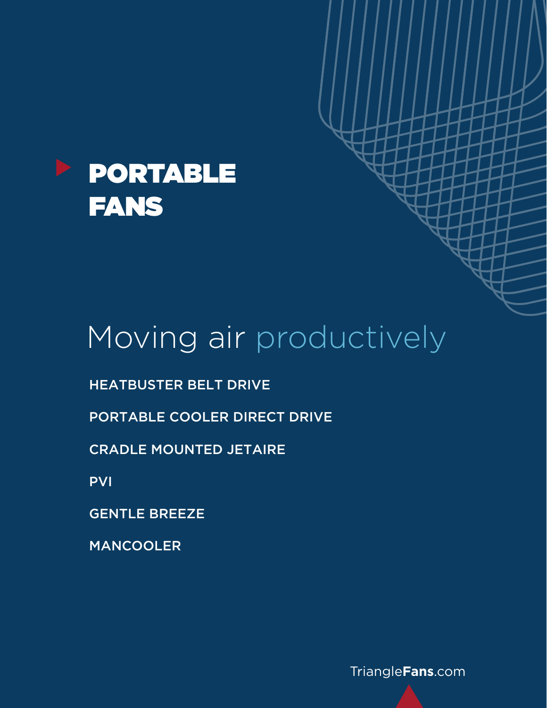

# Moving air productively

HEATBUSTER BELT DRIVE

PORTABLE COOLER DIRECT DRIVE

CRADLE MOUNTED JETAIRE

PVI

GENTLE BREEZE

MANCOOLER

[Triangle](http://www.TriangleFans.com)**Fans**.com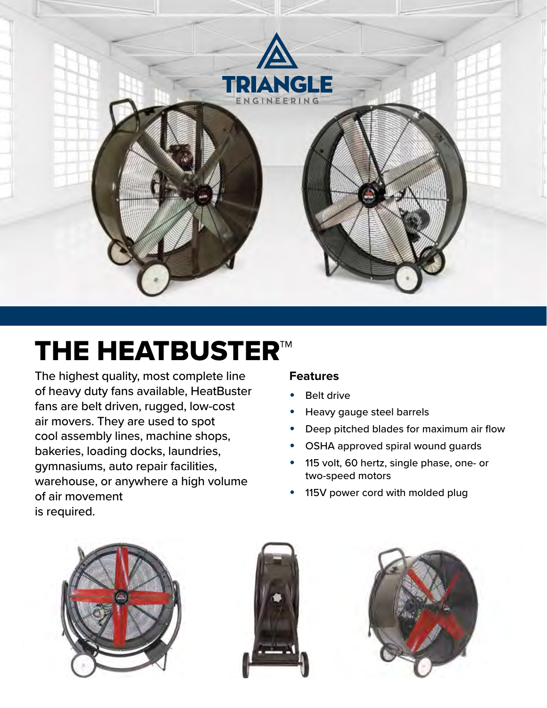

# THE HEATBUSTER™

The highest quality, most complete line of heavy duty fans available, HeatBuster fans are belt driven, rugged, low-cost air movers. They are used to spot cool assembly lines, machine shops, bakeries, loading docks, laundries, gymnasiums, auto repair facilities, warehouse, or anywhere a high volume of air movement is required.

#### **Features**

- **Belt drive**
- Heavy gauge steel barrels
- Deep pitched blades for maximum air flow
- OSHA approved spiral wound guards
- 115 volt, 60 hertz, single phase, one- or two-speed motors
- 115V power cord with molded plug





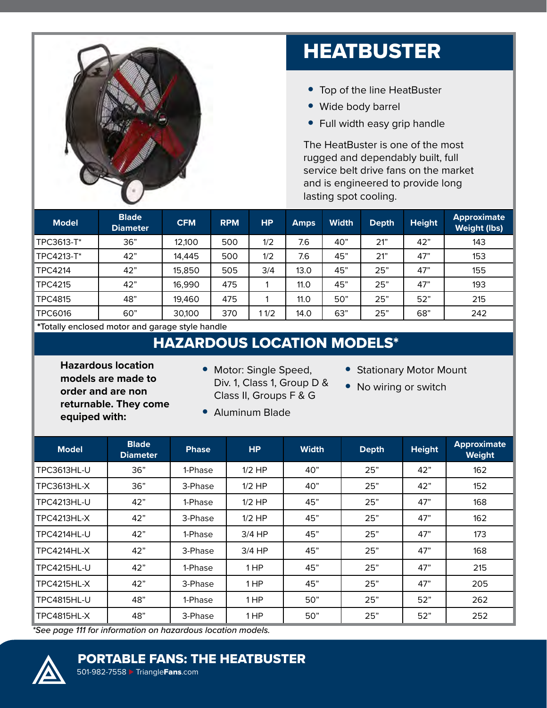

## **HEATBUSTER**

- Top of the line HeatBuster
- Wide body barrel
- Full width easy grip handle

The HeatBuster is one of the most rugged and dependably built, full service belt drive fans on the market and is engineered to provide long lasting spot cooling.

| <b>Model</b>   | <b>Blade</b><br><b>Diameter</b> | <b>CFM</b> | <b>RPM</b> | <b>HP</b> | <b>Amps</b> | <b>Width</b> | <b>Depth</b> | <b>Height</b> | <b>Approximate</b><br><b>Weight (lbs)</b> |
|----------------|---------------------------------|------------|------------|-----------|-------------|--------------|--------------|---------------|-------------------------------------------|
| TPC3613-T*     | 36"                             | 12,100     | 500        | 1/2       | 7.6         | 40"          | 21"          | 42"           | 143                                       |
| TPC4213-T*     | 42"                             | 14,445     | 500        | 1/2       | 7.6         | 45"          | 21"          | 47"           | 153                                       |
| <b>TPC4214</b> | 42"                             | 15,850     | 505        | 3/4       | 13.0        | 45"          | 25"          | 47"           | 155                                       |
| <b>TPC4215</b> | 42"                             | 16,990     | 475        |           | 11.0        | 45"          | 25"          | 47"           | 193                                       |
| <b>TPC4815</b> | 48"                             | 19,460     | 475        |           | 11.0        | 50"          | 25"          | 52"           | 215                                       |
| <b>TPC6016</b> | 60"                             | 30,100     | 370        | 11/2      | 14.0        | 63"          | 25"          | 68"           | 242                                       |

\*Totally enclosed motor and garage style handle

## HAZARDOUS LOCATION MODELS\*

**Hazardous location models are made to order and are non returnable. They come equiped with:**

- Motor: Single Speed, Div. 1, Class 1, Group D & Class II, Groups F & G
- Aluminum Blade
- No wiring or switch

• Stationary Motor Mount

| <b>Model</b>       | <b>Blade</b><br><b>Diameter</b> | <b>Phase</b> | HP       | <b>Width</b> | <b>Depth</b> | <b>Height</b> | <b>Approximate</b><br>Weight |
|--------------------|---------------------------------|--------------|----------|--------------|--------------|---------------|------------------------------|
| <b>TPC3613HL-U</b> | 36"                             | 1-Phase      | $1/2$ HP | 40"          | 25"          | 42"           | 162                          |
| TPC3613HL-X        | 36"                             | 3-Phase      | $1/2$ HP | 40"          | 25"          | 42"           | 152                          |
| TPC4213HL-U        | 42"                             | 1-Phase      | $1/2$ HP | 45"          | 25"          | 47"           | 168                          |
| TPC4213HL-X        | 42"                             | 3-Phase      | $1/2$ HP | 45"          | 25"          | 47"           | 162                          |
| <b>TPC4214HL-U</b> | 42"                             | 1-Phase      | $3/4$ HP | 45"          | 25"          | 47"           | 173                          |
| TPC4214HL-X        | 42"                             | 3-Phase      | $3/4$ HP | 45"          | 25"          | 47"           | 168                          |
| <b>TPC4215HL-U</b> | 42"                             | 1-Phase      | 1 HP     | 45"          | 25"          | 47"           | 215                          |
| <b>TPC4215HL-X</b> | 42"                             | 3-Phase      | 1 HP     | 45"          | 25"          | 47"           | 205                          |
| <b>TPC4815HL-U</b> | 48"                             | 1-Phase      | 1 HP     | 50"          | 25"          | 52"           | 262                          |
| <b>TPC4815HL-X</b> | 48"                             | 3-Phase      | 1 HP     | 50"          | 25"          | 52"           | 252                          |

*\*See page 111 for information on hazardous location models.*



### PORTABLE FANS: THE HEATBUSTER

501-982-7558 ► [Triangle](http://www.TriangleFans.com)Fans.com